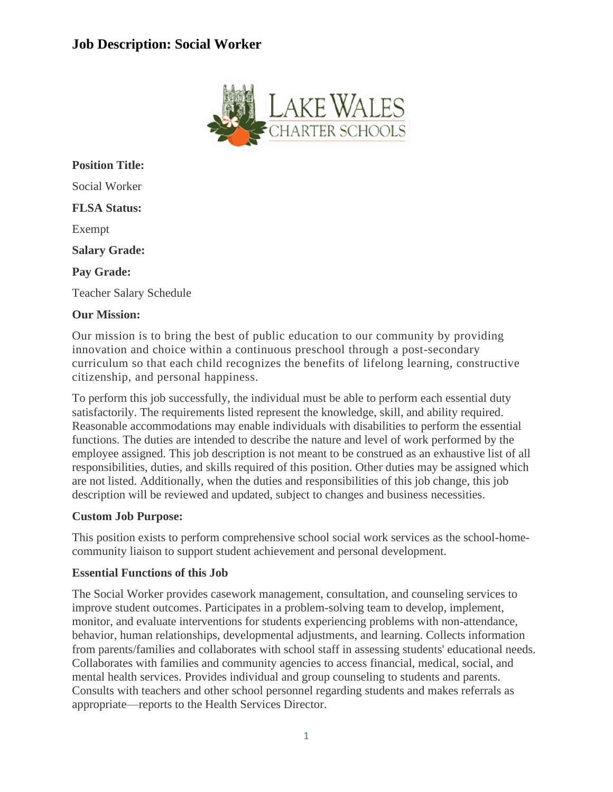# **Job Description: Social Worker**



**Position Title:** Social Worker **FLSA Status:** Exempt **Salary Grade: Pay Grade:** Teacher Salary Schedule

## **Our Mission:**

Our mission is to bring the best of public education to our community by providing innovation and choice within a continuous preschool through a post-secondary curriculum so that each child recognizes the benefits of lifelong learning, constructive citizenship, and personal happiness.

To perform this job successfully, the individual must be able to perform each essential duty satisfactorily. The requirements listed represent the knowledge, skill, and ability required. Reasonable accommodations may enable individuals with disabilities to perform the essential functions. The duties are intended to describe the nature and level of work performed by the employee assigned. This job description is not meant to be construed as an exhaustive list of all responsibilities, duties, and skills required of this position. Other duties may be assigned which are not listed. Additionally, when the duties and responsibilities of this job change, this job description will be reviewed and updated, subject to changes and business necessities.

#### **Custom Job Purpose:**

This position exists to perform comprehensive school social work services as the school-homecommunity liaison to support student achievement and personal development.

#### **Essential Functions of this Job**

The Social Worker provides casework management, consultation, and counseling services to improve student outcomes. Participates in a problem-solving team to develop, implement, monitor, and evaluate interventions for students experiencing problems with non-attendance, behavior, human relationships, developmental adjustments, and learning. Collects information from parents/families and collaborates with school staff in assessing students' educational needs. Collaborates with families and community agencies to access financial, medical, social, and mental health services. Provides individual and group counseling to students and parents. Consults with teachers and other school personnel regarding students and makes referrals as appropriate—reports to the Health Services Director.